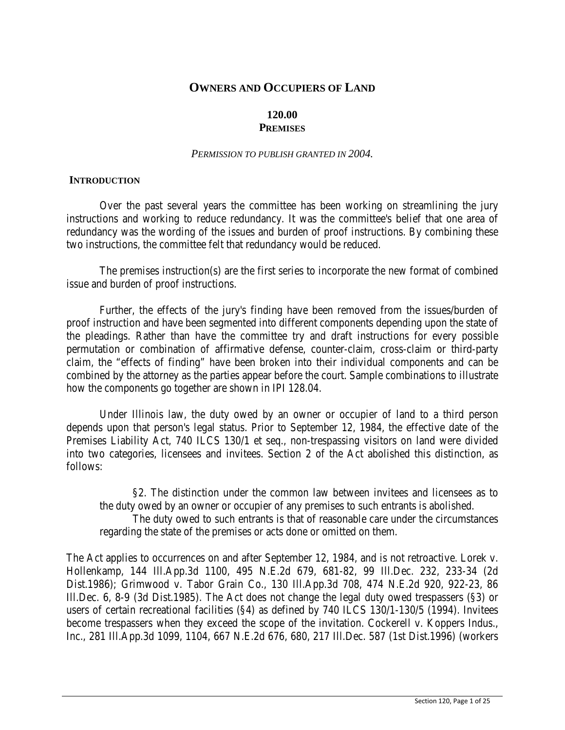# **OWNERS AND OCCUPIERS OF LAND**

## **120.00 PREMISES**

#### *PERMISSION TO PUBLISH GRANTED IN 2004.*

### **INTRODUCTION**

Over the past several years the committee has been working on streamlining the jury instructions and working to reduce redundancy. It was the committee's belief that one area of redundancy was the wording of the issues and burden of proof instructions. By combining these two instructions, the committee felt that redundancy would be reduced.

The premises instruction(s) are the first series to incorporate the new format of combined issue and burden of proof instructions.

Further, the effects of the jury's finding have been removed from the issues/burden of proof instruction and have been segmented into different components depending upon the state of the pleadings. Rather than have the committee try and draft instructions for every possible permutation or combination of affirmative defense, counter-claim, cross-claim or third-party claim, the "effects of finding" have been broken into their individual components and can be combined by the attorney as the parties appear before the court. Sample combinations to illustrate how the components go together are shown in IPI 128.04.

Under Illinois law, the duty owed by an owner or occupier of land to a third person depends upon that person's legal status. Prior to September 12, 1984, the effective date of the Premises Liability Act, 740 ILCS 130/1 et seq., non-trespassing visitors on land were divided into two categories, licensees and invitees. Section 2 of the Act abolished this distinction, as follows:

§2. The distinction under the common law between invitees and licensees as to the duty owed by an owner or occupier of any premises to such entrants is abolished.

The duty owed to such entrants is that of reasonable care under the circumstances regarding the state of the premises or acts done or omitted on them.

The Act applies to occurrences on and after September 12, 1984, and is not retroactive. Lorek v. Hollenkamp, 144 Ill.App.3d 1100, 495 N.E.2d 679, 681-82, 99 Ill.Dec. 232, 233-34 (2d Dist.1986); Grimwood v. Tabor Grain Co., 130 Ill.App.3d 708, 474 N.E.2d 920, 922-23, 86 Ill.Dec. 6, 8-9 (3d Dist.1985). The Act does not change the legal duty owed trespassers (§3) or users of certain recreational facilities (§4) as defined by 740 ILCS 130/1-130/5 (1994). Invitees become trespassers when they exceed the scope of the invitation. Cockerell v. Koppers Indus., Inc., 281 Ill.App.3d 1099, 1104, 667 N.E.2d 676, 680, 217 Ill.Dec. 587 (1st Dist.1996) (workers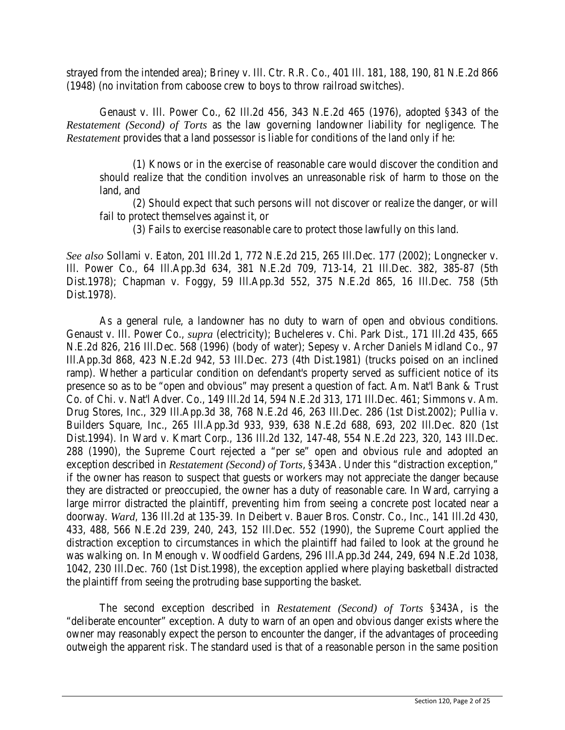strayed from the intended area); Briney v. Ill. Ctr. R.R. Co., 401 Ill. 181, 188, 190, 81 N.E.2d 866 (1948) (no invitation from caboose crew to boys to throw railroad switches).

Genaust v. Ill. Power Co., 62 Ill.2d 456, 343 N.E.2d 465 (1976), adopted §343 of the *Restatement (Second) of Torts* as the law governing landowner liability for negligence. The *Restatement* provides that a land possessor is liable for conditions of the land only if he:

(1) Knows or in the exercise of reasonable care would discover the condition and should realize that the condition involves an unreasonable risk of harm to those on the land, and

(2) Should expect that such persons will not discover or realize the danger, or will fail to protect themselves against it, or

(3) Fails to exercise reasonable care to protect those lawfully on this land.

*See also* Sollami v. Eaton, 201 Ill.2d 1, 772 N.E.2d 215, 265 Ill.Dec. 177 (2002); Longnecker v. Ill. Power Co., 64 Ill.App.3d 634, 381 N.E.2d 709, 713-14, 21 Ill.Dec. 382, 385-87 (5th Dist.1978); Chapman v. Foggy, 59 Ill.App.3d 552, 375 N.E.2d 865, 16 Ill.Dec. 758 (5th Dist.1978).

As a general rule, a landowner has no duty to warn of open and obvious conditions. Genaust v. Ill. Power Co., *supra* (electricity); Bucheleres v. Chi. Park Dist., 171 Ill.2d 435, 665 N.E.2d 826, 216 Ill.Dec. 568 (1996) (body of water); Sepesy v. Archer Daniels Midland Co., 97 Ill.App.3d 868, 423 N.E.2d 942, 53 Ill.Dec. 273 (4th Dist.1981) (trucks poised on an inclined ramp). Whether a particular condition on defendant's property served as sufficient notice of its presence so as to be "open and obvious" may present a question of fact. Am. Nat'l Bank & Trust Co. of Chi. v. Nat'l Adver. Co., 149 Ill.2d 14, 594 N.E.2d 313, 171 Ill.Dec. 461; Simmons v. Am. Drug Stores, Inc., 329 Ill.App.3d 38, 768 N.E.2d 46, 263 Ill.Dec. 286 (1st Dist.2002); Pullia v. Builders Square, Inc., 265 Ill.App.3d 933, 939, 638 N.E.2d 688, 693, 202 Ill.Dec. 820 (1st Dist.1994). In Ward v. Kmart Corp., 136 Ill.2d 132, 147-48, 554 N.E.2d 223, 320, 143 Ill.Dec. 288 (1990), the Supreme Court rejected a "per se" open and obvious rule and adopted an exception described in *Restatement (Second) of Torts*, §343A. Under this "distraction exception," if the owner has reason to suspect that guests or workers may not appreciate the danger because they are distracted or preoccupied, the owner has a duty of reasonable care. In Ward, carrying a large mirror distracted the plaintiff, preventing him from seeing a concrete post located near a doorway. *Ward*, 136 Ill.2d at 135-39. In Deibert v. Bauer Bros. Constr. Co., Inc., 141 Ill.2d 430, 433, 488, 566 N.E.2d 239, 240, 243, 152 Ill.Dec. 552 (1990), the Supreme Court applied the distraction exception to circumstances in which the plaintiff had failed to look at the ground he was walking on. In Menough v. Woodfield Gardens, 296 Ill.App.3d 244, 249, 694 N.E.2d 1038, 1042, 230 Ill.Dec. 760 (1st Dist.1998), the exception applied where playing basketball distracted the plaintiff from seeing the protruding base supporting the basket.

The second exception described in *Restatement (Second) of Torts* §343A, is the "deliberate encounter" exception. A duty to warn of an open and obvious danger exists where the owner may reasonably expect the person to encounter the danger, if the advantages of proceeding outweigh the apparent risk. The standard used is that of a reasonable person in the same position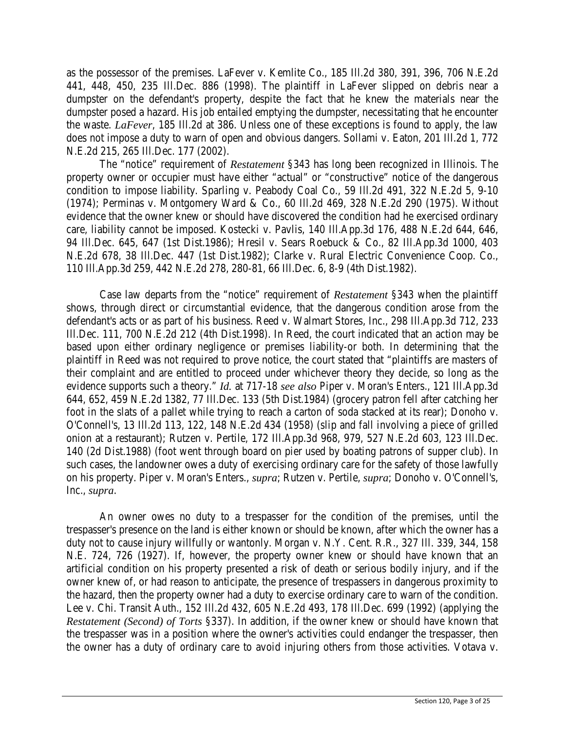as the possessor of the premises. LaFever v. Kemlite Co., 185 Ill.2d 380, 391, 396, 706 N.E.2d 441, 448, 450, 235 Ill.Dec. 886 (1998). The plaintiff in LaFever slipped on debris near a dumpster on the defendant's property, despite the fact that he knew the materials near the dumpster posed a hazard. His job entailed emptying the dumpster, necessitating that he encounter the waste. *LaFever*, 185 Ill.2d at 386. Unless one of these exceptions is found to apply, the law does not impose a duty to warn of open and obvious dangers. Sollami v. Eaton, 201 Ill.2d 1, 772 N.E.2d 215, 265 Ill.Dec. 177 (2002).

The "notice" requirement of *Restatement* §343 has long been recognized in Illinois. The property owner or occupier must have either "actual" or "constructive" notice of the dangerous condition to impose liability. Sparling v. Peabody Coal Co., 59 Ill.2d 491, 322 N.E.2d 5, 9-10 (1974); Perminas v. Montgomery Ward & Co., 60 Ill.2d 469, 328 N.E.2d 290 (1975). Without evidence that the owner knew or should have discovered the condition had he exercised ordinary care, liability cannot be imposed. Kostecki v. Pavlis, 140 Ill.App.3d 176, 488 N.E.2d 644, 646, 94 Ill.Dec. 645, 647 (1st Dist.1986); Hresil v. Sears Roebuck & Co., 82 Ill.App.3d 1000, 403 N.E.2d 678, 38 Ill.Dec. 447 (1st Dist.1982); Clarke v. Rural Electric Convenience Coop. Co., 110 Ill.App.3d 259, 442 N.E.2d 278, 280-81, 66 Ill.Dec. 6, 8-9 (4th Dist.1982).

Case law departs from the "notice" requirement of *Restatement* §343 when the plaintiff shows, through direct or circumstantial evidence, that the dangerous condition arose from the defendant's acts or as part of his business. Reed v. Walmart Stores, Inc., 298 Ill.App.3d 712, 233 Ill.Dec. 111, 700 N.E.2d 212 (4th Dist.1998). In Reed, the court indicated that an action may be based upon either ordinary negligence or premises liability-or both. In determining that the plaintiff in Reed was not required to prove notice, the court stated that "plaintiffs are masters of their complaint and are entitled to proceed under whichever theory they decide, so long as the evidence supports such a theory." *Id.* at 717-18 *see also* Piper v. Moran's Enters., 121 Ill.App.3d 644, 652, 459 N.E.2d 1382, 77 Ill.Dec. 133 (5th Dist.1984) (grocery patron fell after catching her foot in the slats of a pallet while trying to reach a carton of soda stacked at its rear); Donoho v. O'Connell's, 13 Ill.2d 113, 122, 148 N.E.2d 434 (1958) (slip and fall involving a piece of grilled onion at a restaurant); Rutzen v. Pertile, 172 Ill.App.3d 968, 979, 527 N.E.2d 603, 123 Ill.Dec. 140 (2d Dist.1988) (foot went through board on pier used by boating patrons of supper club). In such cases, the landowner owes a duty of exercising ordinary care for the safety of those lawfully on his property. Piper v. Moran's Enters., *supra*; Rutzen v. Pertile, *supra*; Donoho v. O'Connell's, Inc., *supra*.

An owner owes no duty to a trespasser for the condition of the premises, until the trespasser's presence on the land is either known or should be known, after which the owner has a duty not to cause injury willfully or wantonly. Morgan v. N.Y. Cent. R.R., 327 Ill. 339, 344, 158 N.E. 724, 726 (1927). If, however, the property owner knew or should have known that an artificial condition on his property presented a risk of death or serious bodily injury, and if the owner knew of, or had reason to anticipate, the presence of trespassers in dangerous proximity to the hazard, then the property owner had a duty to exercise ordinary care to warn of the condition. Lee v. Chi. Transit Auth., 152 Ill.2d 432, 605 N.E.2d 493, 178 Ill.Dec. 699 (1992) (applying the *Restatement (Second) of Torts* §337). In addition, if the owner knew or should have known that the trespasser was in a position where the owner's activities could endanger the trespasser, then the owner has a duty of ordinary care to avoid injuring others from those activities. Votava v.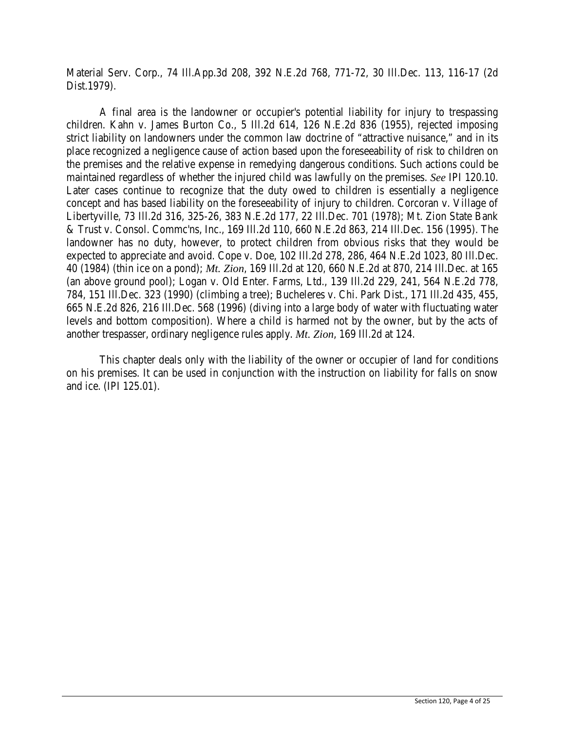Material Serv. Corp., 74 Ill.App.3d 208, 392 N.E.2d 768, 771-72, 30 Ill.Dec. 113, 116-17 (2d Dist.1979).

A final area is the landowner or occupier's potential liability for injury to trespassing children. Kahn v. James Burton Co., 5 Ill.2d 614, 126 N.E.2d 836 (1955), rejected imposing strict liability on landowners under the common law doctrine of "attractive nuisance," and in its place recognized a negligence cause of action based upon the foreseeability of risk to children on the premises and the relative expense in remedying dangerous conditions. Such actions could be maintained regardless of whether the injured child was lawfully on the premises. *See* IPI 120.10. Later cases continue to recognize that the duty owed to children is essentially a negligence concept and has based liability on the foreseeability of injury to children. Corcoran v. Village of Libertyville, 73 Ill.2d 316, 325-26, 383 N.E.2d 177, 22 Ill.Dec. 701 (1978); Mt. Zion State Bank & Trust v. Consol. Commc'ns, Inc., 169 Ill.2d 110, 660 N.E.2d 863, 214 Ill.Dec. 156 (1995). The landowner has no duty, however, to protect children from obvious risks that they would be expected to appreciate and avoid. Cope v. Doe, 102 Ill.2d 278, 286, 464 N.E.2d 1023, 80 Ill.Dec. 40 (1984) (thin ice on a pond); *Mt. Zion*, 169 Ill.2d at 120, 660 N.E.2d at 870, 214 Ill.Dec. at 165 (an above ground pool); Logan v. Old Enter. Farms, Ltd., 139 Ill.2d 229, 241, 564 N.E.2d 778, 784, 151 Ill.Dec. 323 (1990) (climbing a tree); Bucheleres v. Chi. Park Dist., 171 Ill.2d 435, 455, 665 N.E.2d 826, 216 Ill.Dec. 568 (1996) (diving into a large body of water with fluctuating water levels and bottom composition). Where a child is harmed not by the owner, but by the acts of another trespasser, ordinary negligence rules apply. *Mt. Zion*, 169 Ill.2d at 124.

This chapter deals only with the liability of the owner or occupier of land for conditions on his premises. It can be used in conjunction with the instruction on liability for falls on snow and ice. (IPI 125.01).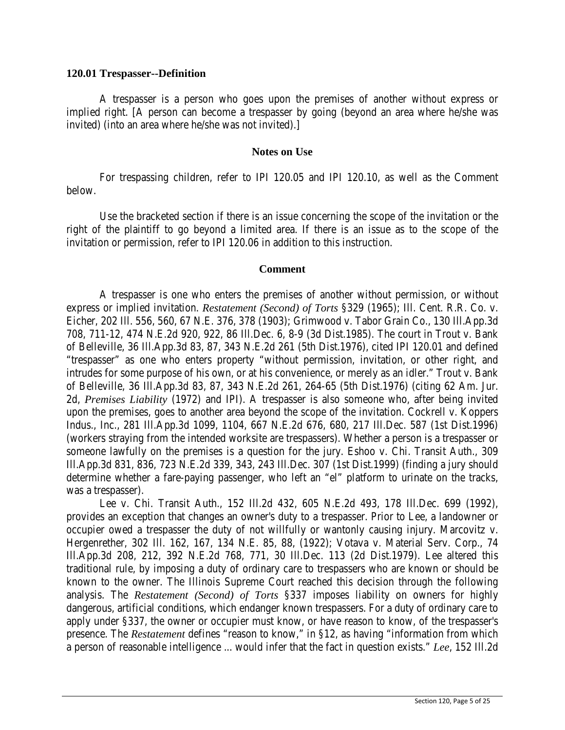#### **120.01 Trespasser--Definition**

A trespasser is a person who goes upon the premises of another without express or implied right. [A person can become a trespasser by going (beyond an area where he/she was invited) (into an area where he/she was not invited).]

#### **Notes on Use**

For trespassing children, refer to IPI 120.05 and IPI 120.10, as well as the Comment below.

Use the bracketed section if there is an issue concerning the scope of the invitation or the right of the plaintiff to go beyond a limited area. If there is an issue as to the scope of the invitation or permission, refer to IPI 120.06 in addition to this instruction.

#### **Comment**

A trespasser is one who enters the premises of another without permission, or without express or implied invitation. *Restatement (Second) of Torts* §329 (1965); Ill. Cent. R.R. Co. v. Eicher, 202 Ill. 556, 560, 67 N.E. 376, 378 (1903); Grimwood v. Tabor Grain Co., 130 Ill.App.3d 708, 711-12, 474 N.E.2d 920, 922, 86 Ill.Dec. 6, 8-9 (3d Dist.1985). The court in Trout v. Bank of Belleville, 36 Ill.App.3d 83, 87, 343 N.E.2d 261 (5th Dist.1976), cited IPI 120.01 and defined "trespasser" as one who enters property "without permission, invitation, or other right, and intrudes for some purpose of his own, or at his convenience, or merely as an idler." Trout v. Bank of Belleville, 36 Ill.App.3d 83, 87, 343 N.E.2d 261, 264-65 (5th Dist.1976) (citing 62 Am. Jur. 2d, *Premises Liability* (1972) and IPI). A trespasser is also someone who, after being invited upon the premises, goes to another area beyond the scope of the invitation. Cockrell v. Koppers Indus., Inc., 281 Ill.App.3d 1099, 1104, 667 N.E.2d 676, 680, 217 Ill.Dec. 587 (1st Dist.1996) (workers straying from the intended worksite are trespassers). Whether a person is a trespasser or someone lawfully on the premises is a question for the jury. Eshoo v. Chi. Transit Auth., 309 Ill.App.3d 831, 836, 723 N.E.2d 339, 343, 243 Ill.Dec. 307 (1st Dist.1999) (finding a jury should determine whether a fare-paying passenger, who left an "el" platform to urinate on the tracks, was a trespasser).

Lee v. Chi. Transit Auth., 152 Ill.2d 432, 605 N.E.2d 493, 178 Ill.Dec. 699 (1992), provides an exception that changes an owner's duty to a trespasser. Prior to Lee, a landowner or occupier owed a trespasser the duty of not willfully or wantonly causing injury. Marcovitz v. Hergenrether, 302 Ill. 162, 167, 134 N.E. 85, 88, (1922); Votava v. Material Serv. Corp., 74 Ill.App.3d 208, 212, 392 N.E.2d 768, 771, 30 Ill.Dec. 113 (2d Dist.1979). Lee altered this traditional rule, by imposing a duty of ordinary care to trespassers who are known or should be known to the owner. The Illinois Supreme Court reached this decision through the following analysis. The *Restatement (Second) of Torts* §337 imposes liability on owners for highly dangerous, artificial conditions, which endanger known trespassers. For a duty of ordinary care to apply under §337, the owner or occupier must know, or have reason to know, of the trespasser's presence. The *Restatement* defines "reason to know," in §12, as having "information from which a person of reasonable intelligence ... would infer that the fact in question exists." *Lee*, 152 Ill.2d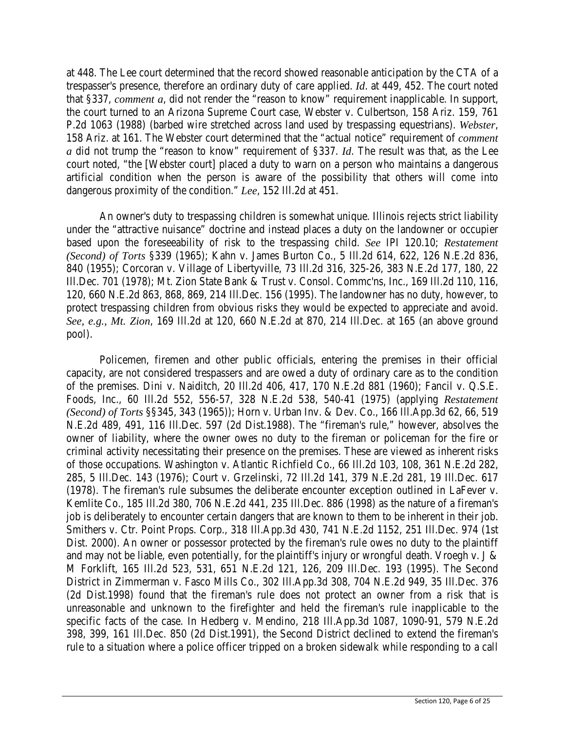at 448. The Lee court determined that the record showed reasonable anticipation by the CTA of a trespasser's presence, therefore an ordinary duty of care applied. *Id*. at 449, 452. The court noted that §337, *comment a*, did not render the "reason to know" requirement inapplicable. In support, the court turned to an Arizona Supreme Court case, Webster v. Culbertson, 158 Ariz. 159, 761 P.2d 1063 (1988) (barbed wire stretched across land used by trespassing equestrians). *Webster*, 158 Ariz. at 161. The Webster court determined that the "actual notice" requirement of *comment a* did not trump the "reason to know" requirement of §337. *Id*. The result was that, as the Lee court noted, "the [Webster court] placed a duty to warn on a person who maintains a dangerous artificial condition when the person is aware of the possibility that others will come into dangerous proximity of the condition." *Lee*, 152 Ill.2d at 451.

An owner's duty to trespassing children is somewhat unique. Illinois rejects strict liability under the "attractive nuisance" doctrine and instead places a duty on the landowner or occupier based upon the foreseeability of risk to the trespassing child. *See* IPI 120.10; *Restatement (Second) of Torts* §339 (1965); Kahn v. James Burton Co., 5 Ill.2d 614, 622, 126 N.E.2d 836, 840 (1955); Corcoran v. Village of Libertyville, 73 Ill.2d 316, 325-26, 383 N.E.2d 177, 180, 22 Ill.Dec. 701 (1978); Mt. Zion State Bank & Trust v. Consol. Commc'ns, Inc., 169 Ill.2d 110, 116, 120, 660 N.E.2d 863, 868, 869, 214 Ill.Dec. 156 (1995). The landowner has no duty, however, to protect trespassing children from obvious risks they would be expected to appreciate and avoid. *See, e.g., Mt. Zion*, 169 Ill.2d at 120, 660 N.E.2d at 870, 214 Ill.Dec. at 165 (an above ground pool).

Policemen, firemen and other public officials, entering the premises in their official capacity, are not considered trespassers and are owed a duty of ordinary care as to the condition of the premises. Dini v. Naiditch, 20 Ill.2d 406, 417, 170 N.E.2d 881 (1960); Fancil v. Q.S.E. Foods, Inc., 60 Ill.2d 552, 556-57, 328 N.E.2d 538, 540-41 (1975) (applying *Restatement (Second) of Torts* §§345, 343 (1965)); Horn v. Urban Inv. & Dev. Co., 166 Ill.App.3d 62, 66, 519 N.E.2d 489, 491, 116 Ill.Dec. 597 (2d Dist.1988). The "fireman's rule," however, absolves the owner of liability, where the owner owes no duty to the fireman or policeman for the fire or criminal activity necessitating their presence on the premises. These are viewed as inherent risks of those occupations. Washington v. Atlantic Richfield Co., 66 Ill.2d 103, 108, 361 N.E.2d 282, 285, 5 Ill.Dec. 143 (1976); Court v. Grzelinski, 72 Ill.2d 141, 379 N.E.2d 281, 19 Ill.Dec. 617 (1978). The fireman's rule subsumes the deliberate encounter exception outlined in LaFever v. Kemlite Co., 185 Ill.2d 380, 706 N.E.2d 441, 235 Ill.Dec. 886 (1998) as the nature of a fireman's job is deliberately to encounter certain dangers that are known to them to be inherent in their job. Smithers v. Ctr. Point Props. Corp., 318 Ill.App.3d 430, 741 N.E.2d 1152, 251 Ill.Dec. 974 (1st Dist. 2000). An owner or possessor protected by the fireman's rule owes no duty to the plaintiff and may not be liable, even potentially, for the plaintiff's injury or wrongful death. Vroegh v. J & M Forklift, 165 Ill.2d 523, 531, 651 N.E.2d 121, 126, 209 Ill.Dec. 193 (1995). The Second District in Zimmerman v. Fasco Mills Co., 302 Ill.App.3d 308, 704 N.E.2d 949, 35 Ill.Dec. 376 (2d Dist.1998) found that the fireman's rule does not protect an owner from a risk that is unreasonable and unknown to the firefighter and held the fireman's rule inapplicable to the specific facts of the case. In Hedberg v. Mendino, 218 Ill.App.3d 1087, 1090-91, 579 N.E.2d 398, 399, 161 Ill.Dec. 850 (2d Dist.1991), the Second District declined to extend the fireman's rule to a situation where a police officer tripped on a broken sidewalk while responding to a call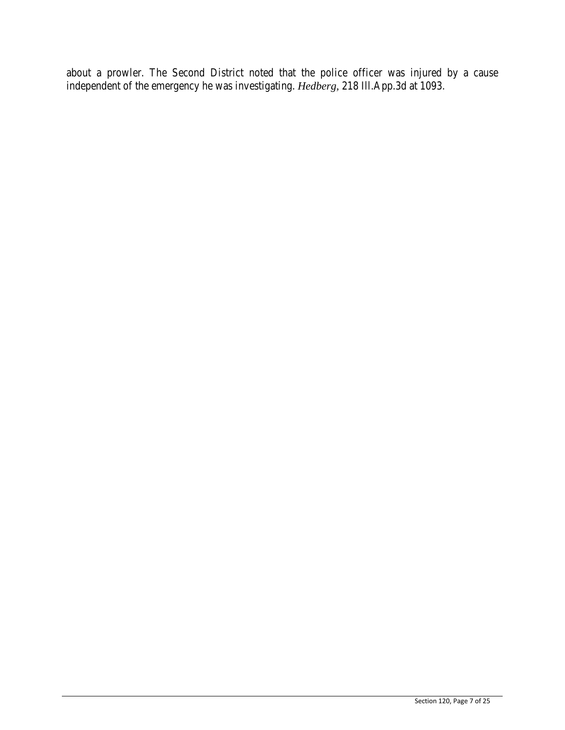about a prowler. The Second District noted that the police officer was injured by a cause independent of the emergency he was investigating. *Hedberg,* 218 Ill.App.3d at 1093.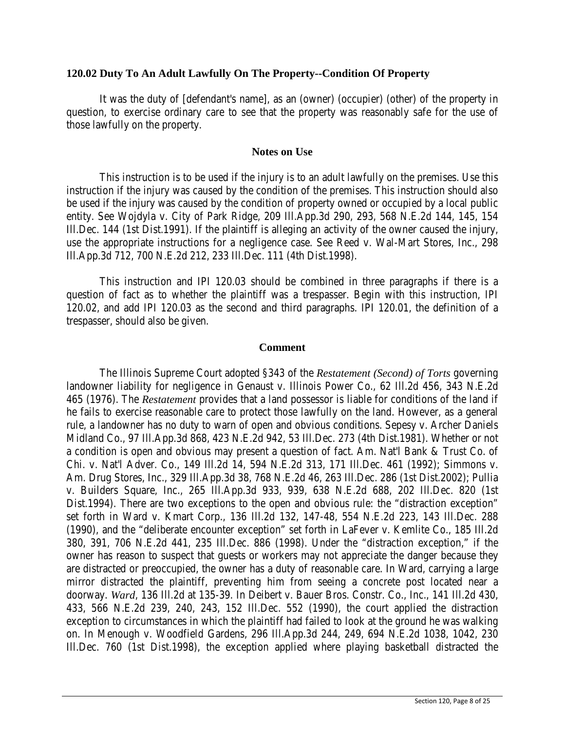### **120.02 Duty To An Adult Lawfully On The Property--Condition Of Property**

It was the duty of [defendant's name], as an (owner) (occupier) (other) of the property in question, to exercise ordinary care to see that the property was reasonably safe for the use of those lawfully on the property.

### **Notes on Use**

This instruction is to be used if the injury is to an adult lawfully on the premises. Use this instruction if the injury was caused by the condition of the premises. This instruction should also be used if the injury was caused by the condition of property owned or occupied by a local public entity. See Wojdyla v. City of Park Ridge, 209 Ill.App.3d 290, 293, 568 N.E.2d 144, 145, 154 Ill.Dec. 144 (1st Dist.1991). If the plaintiff is alleging an activity of the owner caused the injury, use the appropriate instructions for a negligence case. See Reed v. Wal-Mart Stores, Inc., 298 Ill.App.3d 712, 700 N.E.2d 212, 233 Ill.Dec. 111 (4th Dist.1998).

This instruction and IPI 120.03 should be combined in three paragraphs if there is a question of fact as to whether the plaintiff was a trespasser. Begin with this instruction, IPI 120.02, and add IPI 120.03 as the second and third paragraphs. IPI 120.01, the definition of a trespasser, should also be given.

## **Comment**

The Illinois Supreme Court adopted §343 of the *Restatement (Second) of Torts* governing landowner liability for negligence in Genaust v. Illinois Power Co., 62 Ill.2d 456, 343 N.E.2d 465 (1976). The *Restatement* provides that a land possessor is liable for conditions of the land if he fails to exercise reasonable care to protect those lawfully on the land. However, as a general rule, a landowner has no duty to warn of open and obvious conditions. Sepesy v. Archer Daniels Midland Co., 97 Ill.App.3d 868, 423 N.E.2d 942, 53 Ill.Dec. 273 (4th Dist.1981). Whether or not a condition is open and obvious may present a question of fact. Am. Nat'l Bank & Trust Co. of Chi. v. Nat'l Adver. Co., 149 Ill.2d 14, 594 N.E.2d 313, 171 Ill.Dec. 461 (1992); Simmons v. Am. Drug Stores, Inc., 329 Ill.App.3d 38, 768 N.E.2d 46, 263 Ill.Dec. 286 (1st Dist.2002); Pullia v. Builders Square, Inc., 265 Ill.App.3d 933, 939, 638 N.E.2d 688, 202 Ill.Dec. 820 (1st Dist.1994). There are two exceptions to the open and obvious rule: the "distraction exception" set forth in Ward v. Kmart Corp., 136 Ill.2d 132, 147-48, 554 N.E.2d 223, 143 Ill.Dec. 288 (1990), and the "deliberate encounter exception" set forth in LaFever v. Kemlite Co., 185 Ill.2d 380, 391, 706 N.E.2d 441, 235 Ill.Dec. 886 (1998). Under the "distraction exception," if the owner has reason to suspect that guests or workers may not appreciate the danger because they are distracted or preoccupied, the owner has a duty of reasonable care. In Ward, carrying a large mirror distracted the plaintiff, preventing him from seeing a concrete post located near a doorway. *Ward*, 136 Ill.2d at 135-39. In Deibert v. Bauer Bros. Constr. Co., Inc., 141 Ill.2d 430, 433, 566 N.E.2d 239, 240, 243, 152 Ill.Dec. 552 (1990), the court applied the distraction exception to circumstances in which the plaintiff had failed to look at the ground he was walking on. In Menough v. Woodfield Gardens, 296 Ill.App.3d 244, 249, 694 N.E.2d 1038, 1042, 230 Ill.Dec. 760 (1st Dist.1998), the exception applied where playing basketball distracted the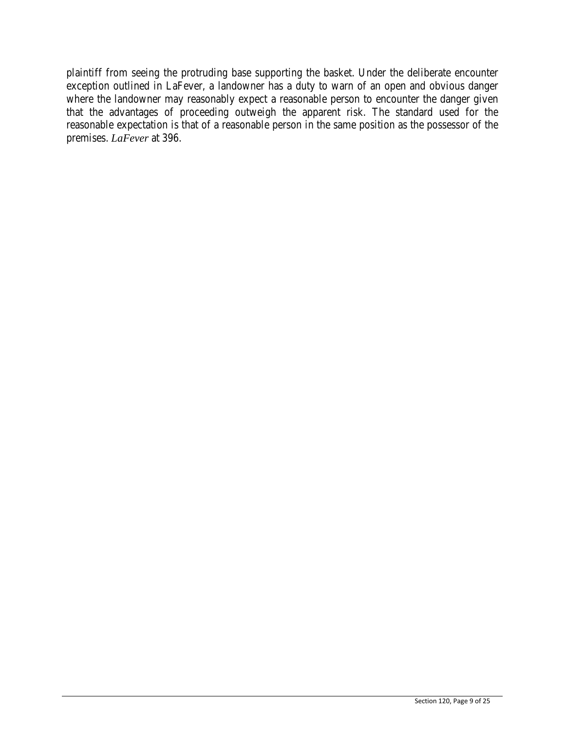plaintiff from seeing the protruding base supporting the basket. Under the deliberate encounter exception outlined in LaFever, a landowner has a duty to warn of an open and obvious danger where the landowner may reasonably expect a reasonable person to encounter the danger given that the advantages of proceeding outweigh the apparent risk. The standard used for the reasonable expectation is that of a reasonable person in the same position as the possessor of the premises. *LaFever* at 396.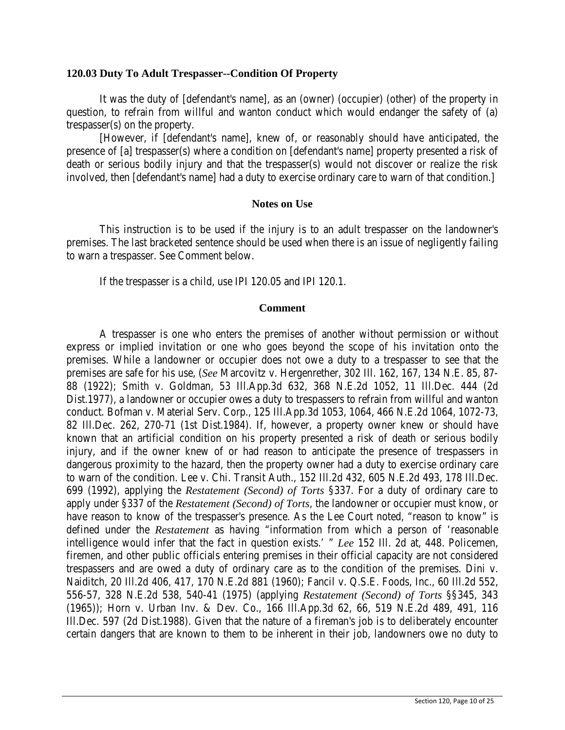#### **120.03 Duty To Adult Trespasser--Condition Of Property**

It was the duty of [defendant's name], as an (owner) (occupier) (other) of the property in question, to refrain from willful and wanton conduct which would endanger the safety of (a) trespasser(s) on the property.

[However, if [defendant's name], knew of, or reasonably should have anticipated, the presence of [a] trespasser(s) where a condition on [defendant's name] property presented a risk of death or serious bodily injury and that the trespasser(s) would not discover or realize the risk involved, then [defendant's name] had a duty to exercise ordinary care to warn of that condition.]

#### **Notes on Use**

This instruction is to be used if the injury is to an adult trespasser on the landowner's premises. The last bracketed sentence should be used when there is an issue of negligently failing to warn a trespasser. See Comment below.

If the trespasser is a child, use IPI 120.05 and IPI 120.1.

#### **Comment**

A trespasser is one who enters the premises of another without permission or without express or implied invitation or one who goes beyond the scope of his invitation onto the premises. While a landowner or occupier does not owe a duty to a trespasser to see that the premises are safe for his use, (*See* Marcovitz v. Hergenrether, 302 Ill. 162, 167, 134 N.E. 85, 87- 88 (1922); Smith v. Goldman, 53 Ill.App.3d 632, 368 N.E.2d 1052, 11 Ill.Dec. 444 (2d Dist.1977), a landowner or occupier owes a duty to trespassers to refrain from willful and wanton conduct. Bofman v. Material Serv. Corp., 125 Ill.App.3d 1053, 1064, 466 N.E.2d 1064, 1072-73, 82 Ill.Dec. 262, 270-71 (1st Dist.1984). If, however, a property owner knew or should have known that an artificial condition on his property presented a risk of death or serious bodily injury, and if the owner knew of or had reason to anticipate the presence of trespassers in dangerous proximity to the hazard, then the property owner had a duty to exercise ordinary care to warn of the condition. Lee v. Chi. Transit Auth., 152 Ill.2d 432, 605 N.E.2d 493, 178 Ill.Dec. 699 (1992), applying the *Restatement (Second) of Torts* §337. For a duty of ordinary care to apply under §337 of the *Restatement (Second) of Torts*, the landowner or occupier must know, or have reason to know of the trespasser's presence. As the Lee Court noted, "reason to know" is defined under the *Restatement* as having "information from which a person of 'reasonable intelligence would infer that the fact in question exists.' " *Lee* 152 Ill. 2d at, 448. Policemen, firemen, and other public officials entering premises in their official capacity are not considered trespassers and are owed a duty of ordinary care as to the condition of the premises. Dini v. Naiditch, 20 Ill.2d 406, 417, 170 N.E.2d 881 (1960); Fancil v. Q.S.E. Foods, Inc., 60 Ill.2d 552, 556-57, 328 N.E.2d 538, 540-41 (1975) (applying *Restatement (Second) of Torts* §§345, 343 (1965)); Horn v. Urban Inv. & Dev. Co., 166 Ill.App.3d 62, 66, 519 N.E.2d 489, 491, 116 Ill.Dec. 597 (2d Dist.1988). Given that the nature of a fireman's job is to deliberately encounter certain dangers that are known to them to be inherent in their job, landowners owe no duty to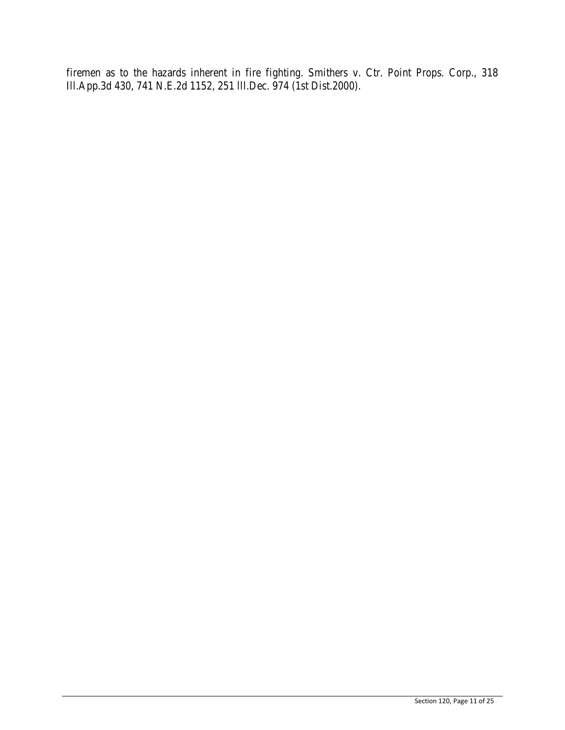firemen as to the hazards inherent in fire fighting. Smithers v. Ctr. Point Props. Corp., 318 Ill.App.3d 430, 741 N.E.2d 1152, 251 lll.Dec. 974 (1st Dist.2000).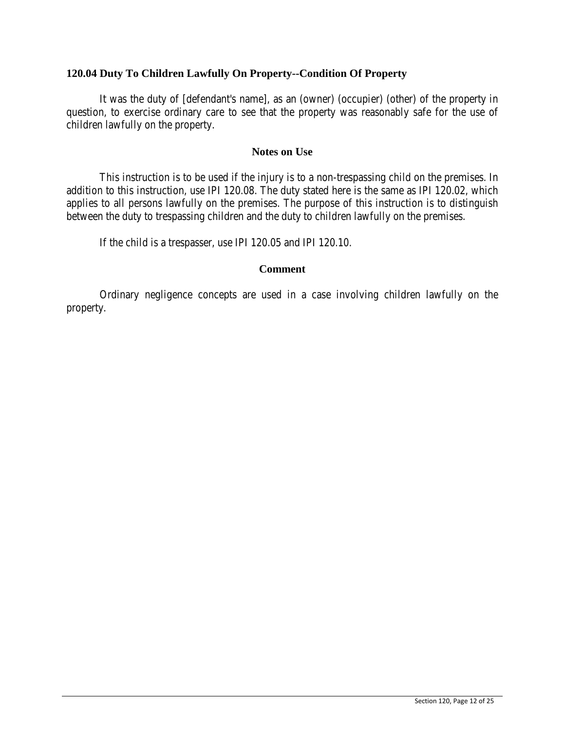## **120.04 Duty To Children Lawfully On Property--Condition Of Property**

It was the duty of [defendant's name], as an (owner) (occupier) (other) of the property in question, to exercise ordinary care to see that the property was reasonably safe for the use of children lawfully on the property.

### **Notes on Use**

This instruction is to be used if the injury is to a non-trespassing child on the premises. In addition to this instruction, use IPI 120.08. The duty stated here is the same as IPI 120.02, which applies to all persons lawfully on the premises. The purpose of this instruction is to distinguish between the duty to trespassing children and the duty to children lawfully on the premises.

If the child is a trespasser, use IPI 120.05 and IPI 120.10.

### **Comment**

Ordinary negligence concepts are used in a case involving children lawfully on the property.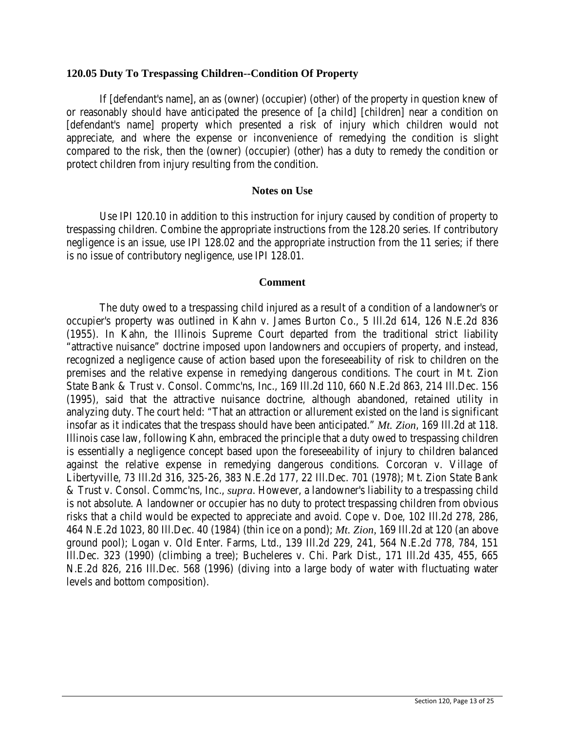### **120.05 Duty To Trespassing Children--Condition Of Property**

If [defendant's name], an as (owner) (occupier) (other) of the property in question knew of or reasonably should have anticipated the presence of [a child] [children] near a condition on [defendant's name] property which presented a risk of injury which children would not appreciate, and where the expense or inconvenience of remedying the condition is slight compared to the risk, then the (owner) (occupier) (other) has a duty to remedy the condition or protect children from injury resulting from the condition.

### **Notes on Use**

Use IPI 120.10 in addition to this instruction for injury caused by condition of property to trespassing children. Combine the appropriate instructions from the 128.20 series. If contributory negligence is an issue, use IPI 128.02 and the appropriate instruction from the 11 series; if there is no issue of contributory negligence, use IPI 128.01.

### **Comment**

The duty owed to a trespassing child injured as a result of a condition of a landowner's or occupier's property was outlined in Kahn v. James Burton Co., 5 Ill.2d 614, 126 N.E.2d 836 (1955). In Kahn, the Illinois Supreme Court departed from the traditional strict liability "attractive nuisance" doctrine imposed upon landowners and occupiers of property, and instead, recognized a negligence cause of action based upon the foreseeability of risk to children on the premises and the relative expense in remedying dangerous conditions. The court in Mt. Zion State Bank & Trust v. Consol. Commc'ns, Inc., 169 Ill.2d 110, 660 N.E.2d 863, 214 Ill.Dec. 156 (1995), said that the attractive nuisance doctrine, although abandoned, retained utility in analyzing duty. The court held: "That an attraction or allurement existed on the land is significant insofar as it indicates that the trespass should have been anticipated." *Mt. Zion*, 169 Ill.2d at 118. Illinois case law, following Kahn, embraced the principle that a duty owed to trespassing children is essentially a negligence concept based upon the foreseeability of injury to children balanced against the relative expense in remedying dangerous conditions. Corcoran v. Village of Libertyville, 73 Ill.2d 316, 325-26, 383 N.E.2d 177, 22 Ill.Dec. 701 (1978); Mt. Zion State Bank & Trust v. Consol. Commc'ns, Inc., *supra*. However, a landowner's liability to a trespassing child is not absolute. A landowner or occupier has no duty to protect trespassing children from obvious risks that a child would be expected to appreciate and avoid. Cope v. Doe, 102 Ill.2d 278, 286, 464 N.E.2d 1023, 80 Ill.Dec. 40 (1984) (thin ice on a pond); *Mt. Zion,* 169 Ill.2d at 120 (an above ground pool); Logan v. Old Enter. Farms, Ltd., 139 Ill.2d 229, 241, 564 N.E.2d 778, 784, 151 Ill.Dec. 323 (1990) (climbing a tree); Bucheleres v. Chi. Park Dist., 171 Ill.2d 435, 455, 665 N.E.2d 826, 216 Ill.Dec. 568 (1996) (diving into a large body of water with fluctuating water levels and bottom composition).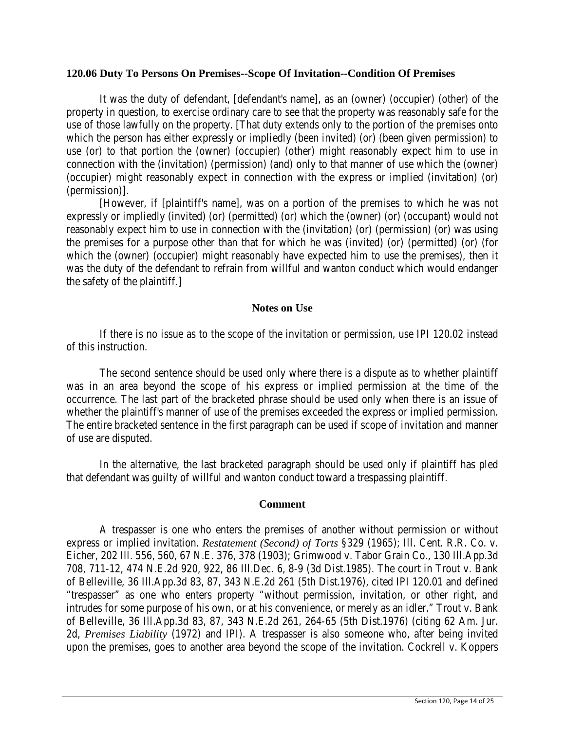#### **120.06 Duty To Persons On Premises--Scope Of Invitation--Condition Of Premises**

It was the duty of defendant, [defendant's name], as an (owner) (occupier) (other) of the property in question, to exercise ordinary care to see that the property was reasonably safe for the use of those lawfully on the property. [That duty extends only to the portion of the premises onto which the person has either expressly or impliedly (been invited) (or) (been given permission) to use (or) to that portion the (owner) (occupier) (other) might reasonably expect him to use in connection with the (invitation) (permission) (and) only to that manner of use which the (owner) (occupier) might reasonably expect in connection with the express or implied (invitation) (or) (permission)].

[However, if [plaintiff's name], was on a portion of the premises to which he was not expressly or impliedly (invited) (or) (permitted) (or) which the (owner) (or) (occupant) would not reasonably expect him to use in connection with the (invitation) (or) (permission) (or) was using the premises for a purpose other than that for which he was (invited) (or) (permitted) (or) (for which the (owner) (occupier) might reasonably have expected him to use the premises), then it was the duty of the defendant to refrain from willful and wanton conduct which would endanger the safety of the plaintiff.]

#### **Notes on Use**

If there is no issue as to the scope of the invitation or permission, use IPI 120.02 instead of this instruction.

The second sentence should be used only where there is a dispute as to whether plaintiff was in an area beyond the scope of his express or implied permission at the time of the occurrence. The last part of the bracketed phrase should be used only when there is an issue of whether the plaintiff's manner of use of the premises exceeded the express or implied permission. The entire bracketed sentence in the first paragraph can be used if scope of invitation and manner of use are disputed.

In the alternative, the last bracketed paragraph should be used only if plaintiff has pled that defendant was guilty of willful and wanton conduct toward a trespassing plaintiff.

#### **Comment**

A trespasser is one who enters the premises of another without permission or without express or implied invitation. *Restatement (Second) of Torts* §329 (1965); Ill. Cent. R.R. Co. v. Eicher, 202 Ill. 556, 560, 67 N.E. 376, 378 (1903); Grimwood v. Tabor Grain Co., 130 Ill.App.3d 708, 711-12, 474 N.E.2d 920, 922, 86 Ill.Dec. 6, 8-9 (3d Dist.1985). The court in Trout v. Bank of Belleville, 36 Ill.App.3d 83, 87, 343 N.E.2d 261 (5th Dist.1976), cited IPI 120.01 and defined "trespasser" as one who enters property "without permission, invitation, or other right, and intrudes for some purpose of his own, or at his convenience, or merely as an idler." Trout v. Bank of Belleville, 36 Ill.App.3d 83, 87, 343 N.E.2d 261, 264-65 (5th Dist.1976) (citing 62 Am. Jur. 2d, *Premises Liability* (1972) and IPI). A trespasser is also someone who, after being invited upon the premises, goes to another area beyond the scope of the invitation. Cockrell v. Koppers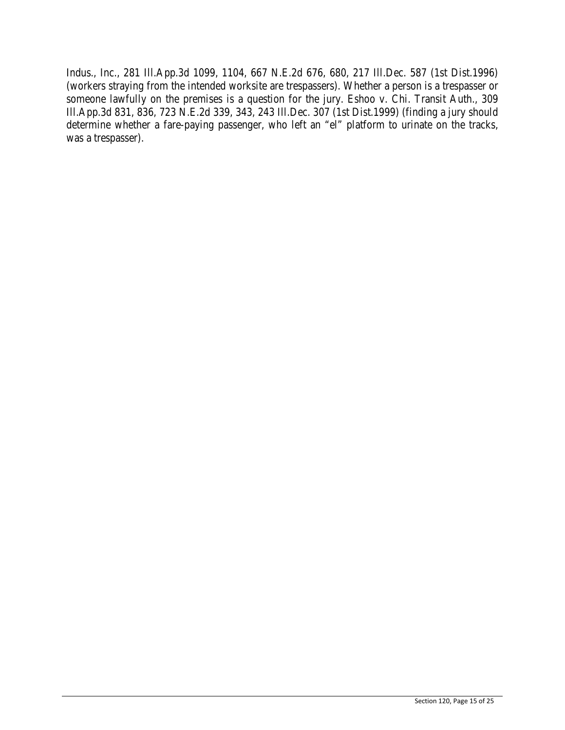Indus., Inc., 281 Ill.App.3d 1099, 1104, 667 N.E.2d 676, 680, 217 Ill.Dec. 587 (1st Dist.1996) (workers straying from the intended worksite are trespassers). Whether a person is a trespasser or someone lawfully on the premises is a question for the jury. Eshoo v. Chi. Transit Auth., 309 Ill.App.3d 831, 836, 723 N.E.2d 339, 343, 243 Ill.Dec. 307 (1st Dist.1999) (finding a jury should determine whether a fare-paying passenger, who left an "el" platform to urinate on the tracks, was a trespasser).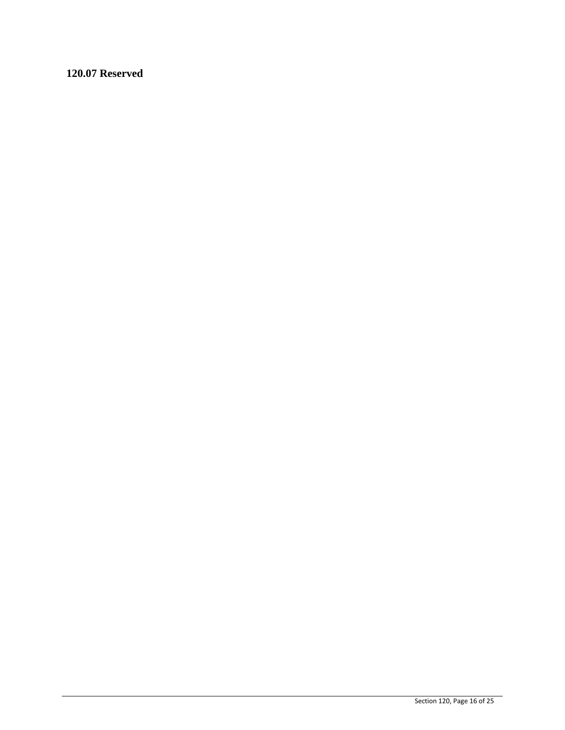**120.07 Reserved**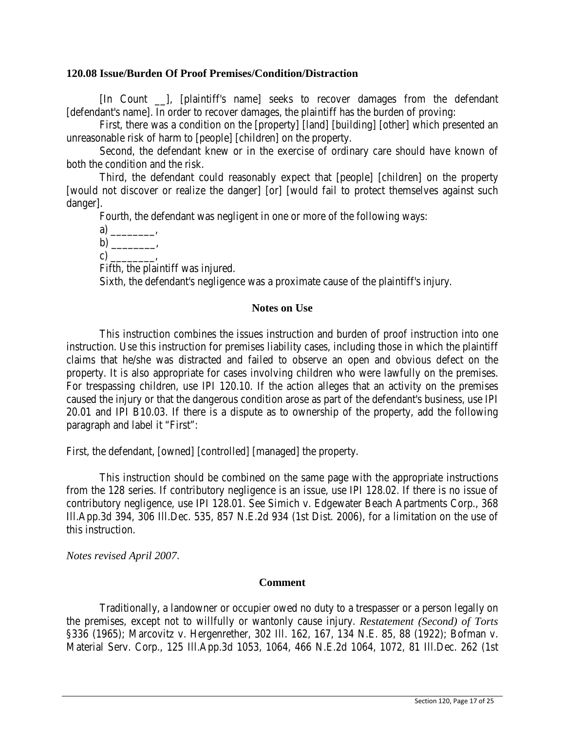## **120.08 Issue/Burden Of Proof Premises/Condition/Distraction**

[In Count \_\_], [plaintiff's name] seeks to recover damages from the defendant [defendant's name]. In order to recover damages, the plaintiff has the burden of proving:

First, there was a condition on the [property] [land] [building] [other] which presented an unreasonable risk of harm to [people] [children] on the property.

Second, the defendant knew or in the exercise of ordinary care should have known of both the condition and the risk.

Third, the defendant could reasonably expect that [people] [children] on the property [would not discover or realize the danger] [or] [would fail to protect themselves against such danger].

Fourth, the defendant was negligent in one or more of the following ways:

a) \_\_\_\_\_\_\_\_,

 $b)$  ,

 $c)$  .

Fifth, the plaintiff was injured.

Sixth, the defendant's negligence was a proximate cause of the plaintiff's injury.

### **Notes on Use**

This instruction combines the issues instruction and burden of proof instruction into one instruction. Use this instruction for premises liability cases, including those in which the plaintiff claims that he/she was distracted and failed to observe an open and obvious defect on the property. It is also appropriate for cases involving children who were lawfully on the premises. For trespassing children, use IPI 120.10. If the action alleges that an activity on the premises caused the injury or that the dangerous condition arose as part of the defendant's business, use IPI 20.01 and IPI B10.03. If there is a dispute as to ownership of the property, add the following paragraph and label it "First":

First, the defendant, [owned] [controlled] [managed] the property.

This instruction should be combined on the same page with the appropriate instructions from the 128 series. If contributory negligence is an issue, use IPI 128.02. If there is no issue of contributory negligence, use IPI 128.01. See Simich v. Edgewater Beach Apartments Corp., 368 Ill.App.3d 394, 306 Ill.Dec. 535, 857 N.E.2d 934 (1st Dist. 2006), for a limitation on the use of this instruction.

*Notes revised April 2007*.

#### **Comment**

Traditionally, a landowner or occupier owed no duty to a trespasser or a person legally on the premises, except not to willfully or wantonly cause injury. *Restatement (Second) of Torts* §336 (1965); Marcovitz v. Hergenrether, 302 Ill. 162, 167, 134 N.E. 85, 88 (1922); Bofman v. Material Serv. Corp., 125 Ill.App.3d 1053, 1064, 466 N.E.2d 1064, 1072, 81 Ill.Dec. 262 (1st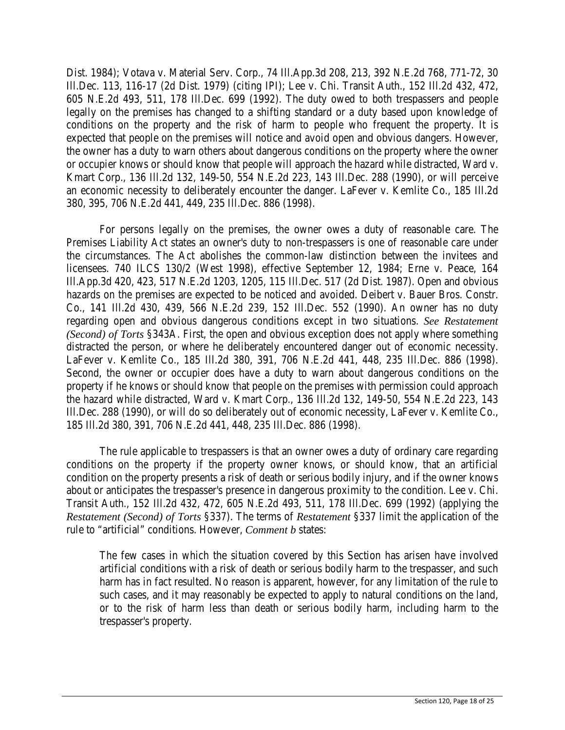Dist. 1984); Votava v. Material Serv. Corp., 74 Ill.App.3d 208, 213, 392 N.E.2d 768, 771-72, 30 Ill.Dec. 113, 116-17 (2d Dist. 1979) (citing IPI); Lee v. Chi. Transit Auth., 152 Ill.2d 432, 472, 605 N.E.2d 493, 511, 178 Ill.Dec. 699 (1992). The duty owed to both trespassers and people legally on the premises has changed to a shifting standard or a duty based upon knowledge of conditions on the property and the risk of harm to people who frequent the property. It is expected that people on the premises will notice and avoid open and obvious dangers. However, the owner has a duty to warn others about dangerous conditions on the property where the owner or occupier knows or should know that people will approach the hazard while distracted, Ward v. Kmart Corp., 136 Ill.2d 132, 149-50, 554 N.E.2d 223, 143 Ill.Dec. 288 (1990), or will perceive an economic necessity to deliberately encounter the danger. LaFever v. Kemlite Co., 185 Ill.2d 380, 395, 706 N.E.2d 441, 449, 235 Ill.Dec. 886 (1998).

For persons legally on the premises, the owner owes a duty of reasonable care. The Premises Liability Act states an owner's duty to non-trespassers is one of reasonable care under the circumstances. The Act abolishes the common-law distinction between the invitees and licensees. 740 ILCS 130/2 (West 1998), effective September 12, 1984; Erne v. Peace, 164 Ill.App.3d 420, 423, 517 N.E.2d 1203, 1205, 115 Ill.Dec. 517 (2d Dist. 1987). Open and obvious hazards on the premises are expected to be noticed and avoided. Deibert v. Bauer Bros. Constr. Co., 141 Ill.2d 430, 439, 566 N.E.2d 239, 152 Ill.Dec. 552 (1990). An owner has no duty regarding open and obvious dangerous conditions except in two situations. *See Restatement (Second) of Torts* §343A. First, the open and obvious exception does not apply where something distracted the person, or where he deliberately encountered danger out of economic necessity. LaFever v. Kemlite Co., 185 Ill.2d 380, 391, 706 N.E.2d 441, 448, 235 Ill.Dec. 886 (1998). Second, the owner or occupier does have a duty to warn about dangerous conditions on the property if he knows or should know that people on the premises with permission could approach the hazard while distracted, Ward v. Kmart Corp., 136 Ill.2d 132, 149-50, 554 N.E.2d 223, 143 Ill.Dec. 288 (1990), or will do so deliberately out of economic necessity, LaFever v. Kemlite Co., 185 Ill.2d 380, 391, 706 N.E.2d 441, 448, 235 Ill.Dec. 886 (1998).

The rule applicable to trespassers is that an owner owes a duty of ordinary care regarding conditions on the property if the property owner knows, or should know, that an artificial condition on the property presents a risk of death or serious bodily injury, and if the owner knows about or anticipates the trespasser's presence in dangerous proximity to the condition. Lee v. Chi. Transit Auth., 152 Ill.2d 432, 472, 605 N.E.2d 493, 511, 178 Ill.Dec. 699 (1992) (applying the *Restatement (Second) of Torts* §337). The terms of *Restatement* §337 limit the application of the rule to "artificial" conditions. However, *Comment b* states:

The few cases in which the situation covered by this Section has arisen have involved artificial conditions with a risk of death or serious bodily harm to the trespasser, and such harm has in fact resulted. No reason is apparent, however, for any limitation of the rule to such cases, and it may reasonably be expected to apply to natural conditions on the land, or to the risk of harm less than death or serious bodily harm, including harm to the trespasser's property.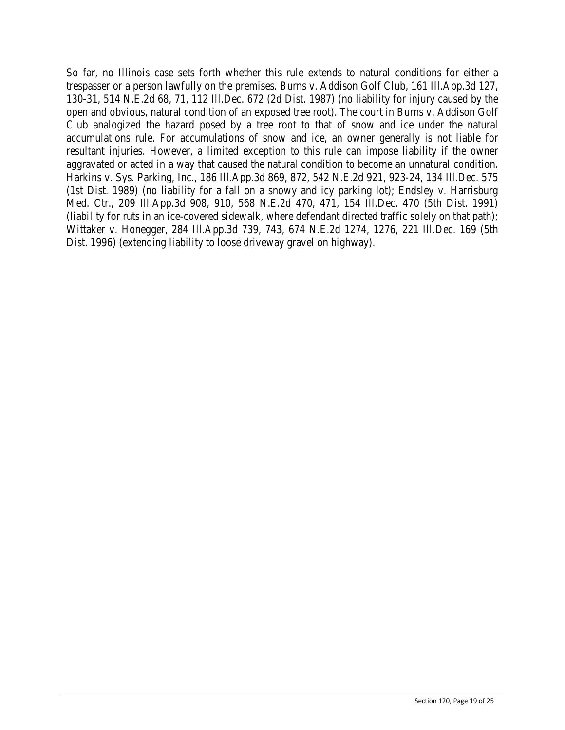So far, no Illinois case sets forth whether this rule extends to natural conditions for either a trespasser or a person lawfully on the premises. Burns v. Addison Golf Club, 161 Ill.App.3d 127, 130-31, 514 N.E.2d 68, 71, 112 Ill.Dec. 672 (2d Dist. 1987) (no liability for injury caused by the open and obvious, natural condition of an exposed tree root). The court in Burns v. Addison Golf Club analogized the hazard posed by a tree root to that of snow and ice under the natural accumulations rule. For accumulations of snow and ice, an owner generally is not liable for resultant injuries. However, a limited exception to this rule can impose liability if the owner aggravated or acted in a way that caused the natural condition to become an unnatural condition. Harkins v. Sys. Parking, Inc., 186 Ill.App.3d 869, 872, 542 N.E.2d 921, 923-24, 134 Ill.Dec. 575 (1st Dist. 1989) (no liability for a fall on a snowy and icy parking lot); Endsley v. Harrisburg Med. Ctr., 209 Ill.App.3d 908, 910, 568 N.E.2d 470, 471, 154 Ill.Dec. 470 (5th Dist. 1991) (liability for ruts in an ice-covered sidewalk, where defendant directed traffic solely on that path); Wittaker v. Honegger, 284 Ill.App.3d 739, 743, 674 N.E.2d 1274, 1276, 221 Ill.Dec. 169 (5th Dist. 1996) (extending liability to loose driveway gravel on highway).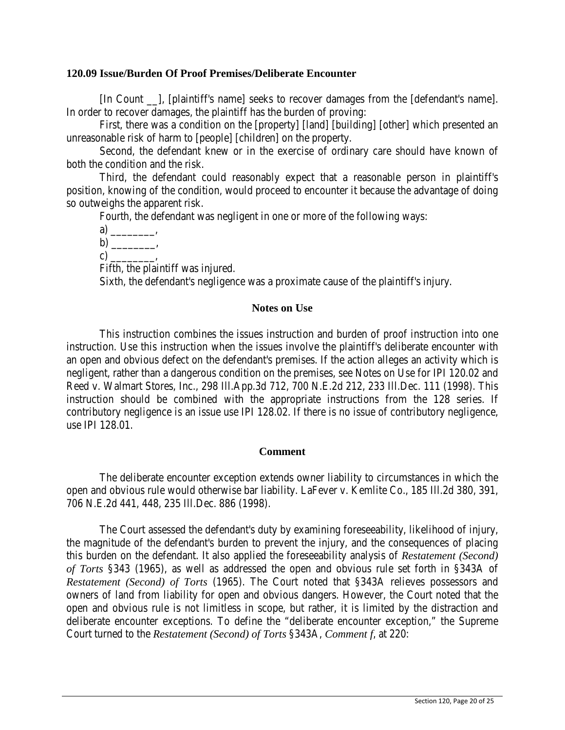### **120.09 Issue/Burden Of Proof Premises/Deliberate Encounter**

[In Count \_\_], [plaintiff's name] seeks to recover damages from the [defendant's name]. In order to recover damages, the plaintiff has the burden of proving:

First, there was a condition on the [property] [land] [building] [other] which presented an unreasonable risk of harm to [people] [children] on the property.

Second, the defendant knew or in the exercise of ordinary care should have known of both the condition and the risk.

Third, the defendant could reasonably expect that a reasonable person in plaintiff's position, knowing of the condition, would proceed to encounter it because the advantage of doing so outweighs the apparent risk.

Fourth, the defendant was negligent in one or more of the following ways:

a) \_\_\_\_\_\_\_\_,

 $b)$  ,

c)  $\qquad \qquad$ 

Fifth, the plaintiff was injured.

Sixth, the defendant's negligence was a proximate cause of the plaintiff's injury.

### **Notes on Use**

This instruction combines the issues instruction and burden of proof instruction into one instruction. Use this instruction when the issues involve the plaintiff's deliberate encounter with an open and obvious defect on the defendant's premises. If the action alleges an activity which is negligent, rather than a dangerous condition on the premises, see Notes on Use for IPI 120.02 and Reed v. Walmart Stores, Inc., 298 Ill.App.3d 712, 700 N.E.2d 212, 233 Ill.Dec. 111 (1998). This instruction should be combined with the appropriate instructions from the 128 series. If contributory negligence is an issue use IPI 128.02. If there is no issue of contributory negligence, use IPI 128.01.

## **Comment**

The deliberate encounter exception extends owner liability to circumstances in which the open and obvious rule would otherwise bar liability. LaFever v. Kemlite Co., 185 Ill.2d 380, 391, 706 N.E.2d 441, 448, 235 Ill.Dec. 886 (1998).

The Court assessed the defendant's duty by examining foreseeability, likelihood of injury, the magnitude of the defendant's burden to prevent the injury, and the consequences of placing this burden on the defendant. It also applied the foreseeability analysis of *Restatement (Second) of Torts* §343 (1965), as well as addressed the open and obvious rule set forth in §343A of *Restatement (Second) of Torts* (1965). The Court noted that §343A relieves possessors and owners of land from liability for open and obvious dangers. However, the Court noted that the open and obvious rule is not limitless in scope, but rather, it is limited by the distraction and deliberate encounter exceptions. To define the "deliberate encounter exception," the Supreme Court turned to the *Restatement (Second) of Torts* §343A, *Comment f*, at 220: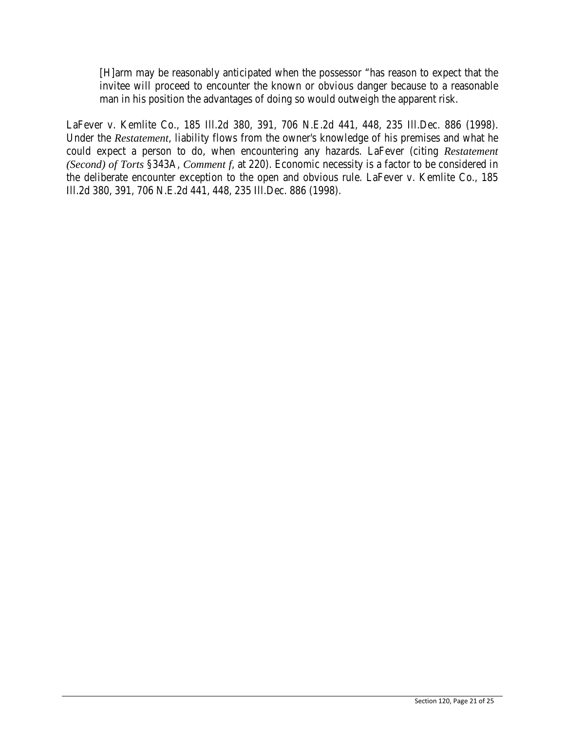[H]arm may be reasonably anticipated when the possessor "has reason to expect that the invitee will proceed to encounter the known or obvious danger because to a reasonable man in his position the advantages of doing so would outweigh the apparent risk.

LaFever v. Kemlite Co., 185 Ill.2d 380, 391, 706 N.E.2d 441, 448, 235 Ill.Dec. 886 (1998). Under the *Restatement*, liability flows from the owner's knowledge of his premises and what he could expect a person to do, when encountering any hazards. LaFever (citing *Restatement (Second) of Torts* §343A, *Comment f*, at 220). Economic necessity is a factor to be considered in the deliberate encounter exception to the open and obvious rule. LaFever v. Kemlite Co., 185 Ill.2d 380, 391, 706 N.E.2d 441, 448, 235 Ill.Dec. 886 (1998).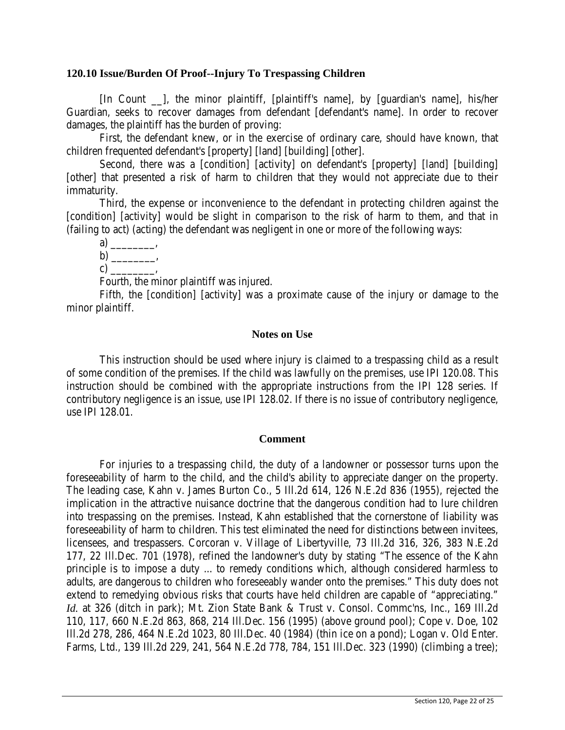## **120.10 Issue/Burden Of Proof--Injury To Trespassing Children**

[In Count \_\_], the minor plaintiff, [plaintiff's name], by [guardian's name], his/her Guardian, seeks to recover damages from defendant [defendant's name]. In order to recover damages, the plaintiff has the burden of proving:

First, the defendant knew, or in the exercise of ordinary care, should have known, that children frequented defendant's [property] [land] [building] [other].

Second, there was a [condition] [activity] on defendant's [property] [land] [building] [other] that presented a risk of harm to children that they would not appreciate due to their immaturity.

Third, the expense or inconvenience to the defendant in protecting children against the [condition] [activity] would be slight in comparison to the risk of harm to them, and that in (failing to act) (acting) the defendant was negligent in one or more of the following ways:

a)  $\qquad \qquad$  $b)$  ,

c)  $\Box$ 

Fourth, the minor plaintiff was injured.

Fifth, the [condition] [activity] was a proximate cause of the injury or damage to the minor plaintiff.

## **Notes on Use**

This instruction should be used where injury is claimed to a trespassing child as a result of some condition of the premises. If the child was lawfully on the premises, use IPI 120.08. This instruction should be combined with the appropriate instructions from the IPI 128 series. If contributory negligence is an issue, use IPI 128.02. If there is no issue of contributory negligence, use IPI 128.01.

## **Comment**

For injuries to a trespassing child, the duty of a landowner or possessor turns upon the foreseeability of harm to the child, and the child's ability to appreciate danger on the property. The leading case, Kahn v. James Burton Co., 5 Ill.2d 614, 126 N.E.2d 836 (1955), rejected the implication in the attractive nuisance doctrine that the dangerous condition had to lure children into trespassing on the premises. Instead, Kahn established that the cornerstone of liability was foreseeability of harm to children. This test eliminated the need for distinctions between invitees, licensees, and trespassers. Corcoran v. Village of Libertyville, 73 Ill.2d 316, 326, 383 N.E.2d 177, 22 Ill.Dec. 701 (1978), refined the landowner's duty by stating "The essence of the Kahn principle is to impose a duty ... to remedy conditions which, although considered harmless to adults, are dangerous to children who foreseeably wander onto the premises." This duty does not extend to remedying obvious risks that courts have held children are capable of "appreciating." *Id.* at 326 (ditch in park); Mt. Zion State Bank & Trust v. Consol. Commc'ns, Inc., 169 Ill.2d 110, 117, 660 N.E.2d 863, 868, 214 Ill.Dec. 156 (1995) (above ground pool); Cope v. Doe, 102 Ill.2d 278, 286, 464 N.E.2d 1023, 80 Ill.Dec. 40 (1984) (thin ice on a pond); Logan v. Old Enter. Farms, Ltd., 139 Ill.2d 229, 241, 564 N.E.2d 778, 784, 151 Ill.Dec. 323 (1990) (climbing a tree);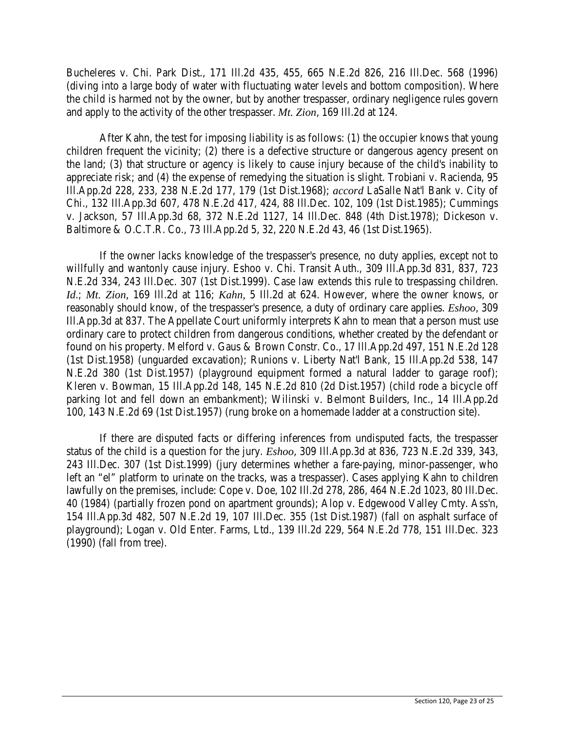Bucheleres v. Chi. Park Dist., 171 Ill.2d 435, 455, 665 N.E.2d 826, 216 Ill.Dec. 568 (1996) (diving into a large body of water with fluctuating water levels and bottom composition). Where the child is harmed not by the owner, but by another trespasser, ordinary negligence rules govern and apply to the activity of the other trespasser. *Mt. Zion*, 169 Ill.2d at 124.

After Kahn, the test for imposing liability is as follows: (1) the occupier knows that young children frequent the vicinity; (2) there is a defective structure or dangerous agency present on the land; (3) that structure or agency is likely to cause injury because of the child's inability to appreciate risk; and (4) the expense of remedying the situation is slight. Trobiani v. Racienda, 95 Ill.App.2d 228, 233, 238 N.E.2d 177, 179 (1st Dist.1968); *accord* LaSalle Nat'l Bank v. City of Chi., 132 Ill.App.3d 607, 478 N.E.2d 417, 424, 88 Ill.Dec. 102, 109 (1st Dist.1985); Cummings v. Jackson, 57 Ill.App.3d 68, 372 N.E.2d 1127, 14 Ill.Dec. 848 (4th Dist.1978); Dickeson v. Baltimore & O.C.T.R. Co., 73 Ill.App.2d 5, 32, 220 N.E.2d 43, 46 (1st Dist.1965).

If the owner lacks knowledge of the trespasser's presence, no duty applies, except not to willfully and wantonly cause injury. Eshoo v. Chi. Transit Auth., 309 Ill.App.3d 831, 837, 723 N.E.2d 334, 243 Ill.Dec. 307 (1st Dist.1999). Case law extends this rule to trespassing children. *Id*.; *Mt. Zion,* 169 Ill.2d at 116; *Kahn,* 5 Ill.2d at 624. However, where the owner knows, or reasonably should know, of the trespasser's presence, a duty of ordinary care applies. *Eshoo*, 309 Ill.App.3d at 837. The Appellate Court uniformly interprets Kahn to mean that a person must use ordinary care to protect children from dangerous conditions, whether created by the defendant or found on his property. Melford v. Gaus & Brown Constr. Co., 17 Ill.App.2d 497, 151 N.E.2d 128 (1st Dist.1958) (unguarded excavation); Runions v. Liberty Nat'l Bank, 15 Ill.App.2d 538, 147 N.E.2d 380 (1st Dist.1957) (playground equipment formed a natural ladder to garage roof); Kleren v. Bowman, 15 Ill.App.2d 148, 145 N.E.2d 810 (2d Dist.1957) (child rode a bicycle off parking lot and fell down an embankment); Wilinski v. Belmont Builders, Inc., 14 Ill.App.2d 100, 143 N.E.2d 69 (1st Dist.1957) (rung broke on a homemade ladder at a construction site).

If there are disputed facts or differing inferences from undisputed facts, the trespasser status of the child is a question for the jury. *Eshoo*, 309 Ill.App.3d at 836, 723 N.E.2d 339, 343, 243 Ill.Dec. 307 (1st Dist.1999) (jury determines whether a fare-paying, minor-passenger, who left an "el" platform to urinate on the tracks, was a trespasser). Cases applying Kahn to children lawfully on the premises, include: Cope v. Doe, 102 Ill.2d 278, 286, 464 N.E.2d 1023, 80 Ill.Dec. 40 (1984) (partially frozen pond on apartment grounds); Alop v. Edgewood Valley Cmty. Ass'n, 154 Ill.App.3d 482, 507 N.E.2d 19, 107 Ill.Dec. 355 (1st Dist.1987) (fall on asphalt surface of playground); Logan v. Old Enter. Farms, Ltd., 139 Ill.2d 229, 564 N.E.2d 778, 151 Ill.Dec. 323 (1990) (fall from tree).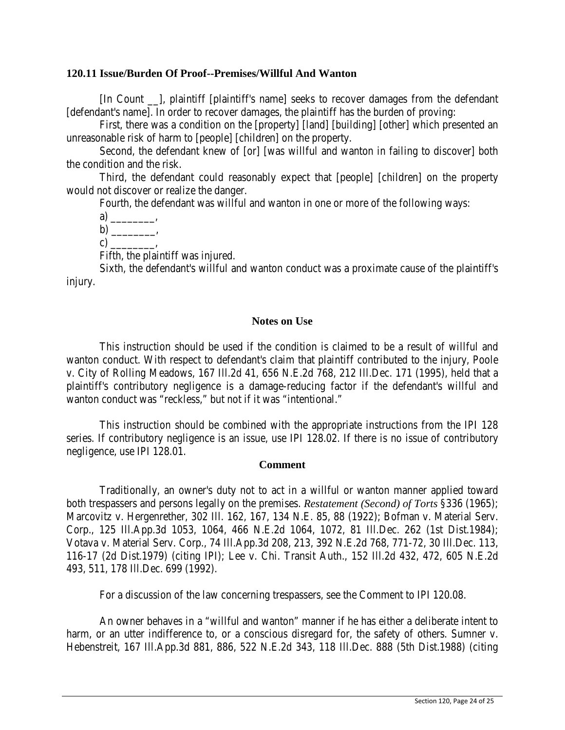### **120.11 Issue/Burden Of Proof--Premises/Willful And Wanton**

[In Count \_\_], plaintiff [plaintiff's name] seeks to recover damages from the defendant [defendant's name]. In order to recover damages, the plaintiff has the burden of proving:

First, there was a condition on the [property] [land] [building] [other] which presented an unreasonable risk of harm to [people] [children] on the property.

Second, the defendant knew of [or] [was willful and wanton in failing to discover] both the condition and the risk.

Third, the defendant could reasonably expect that [people] [children] on the property would not discover or realize the danger.

Fourth, the defendant was willful and wanton in one or more of the following ways:

 $a) \underline{\hspace{1cm}}$ 

 $b)$  , c)  $\qquad \qquad$ 

Fifth, the plaintiff was injured.

Sixth, the defendant's willful and wanton conduct was a proximate cause of the plaintiff's injury.

## **Notes on Use**

This instruction should be used if the condition is claimed to be a result of willful and wanton conduct. With respect to defendant's claim that plaintiff contributed to the injury, Poole v. City of Rolling Meadows, 167 Ill.2d 41, 656 N.E.2d 768, 212 Ill.Dec. 171 (1995), held that a plaintiff's contributory negligence is a damage-reducing factor if the defendant's willful and wanton conduct was "reckless," but not if it was "intentional."

This instruction should be combined with the appropriate instructions from the IPI 128 series. If contributory negligence is an issue, use IPI 128.02. If there is no issue of contributory negligence, use IPI 128.01.

#### **Comment**

Traditionally, an owner's duty not to act in a willful or wanton manner applied toward both trespassers and persons legally on the premises. *Restatement (Second) of Torts* §336 (1965); Marcovitz v. Hergenrether, 302 Ill. 162, 167, 134 N.E. 85, 88 (1922); Bofman v. Material Serv. Corp., 125 Ill.App.3d 1053, 1064, 466 N.E.2d 1064, 1072, 81 Ill.Dec. 262 (1st Dist.1984); Votava v. Material Serv. Corp., 74 Ill.App.3d 208, 213, 392 N.E.2d 768, 771-72, 30 Ill.Dec. 113, 116-17 (2d Dist.1979) (citing IPI); Lee v. Chi. Transit Auth., 152 Ill.2d 432, 472, 605 N.E.2d 493, 511, 178 Ill.Dec. 699 (1992).

For a discussion of the law concerning trespassers, see the Comment to IPI 120.08.

An owner behaves in a "willful and wanton" manner if he has either a deliberate intent to harm, or an utter indifference to, or a conscious disregard for, the safety of others. Sumner v. Hebenstreit, 167 Ill.App.3d 881, 886, 522 N.E.2d 343, 118 Ill.Dec. 888 (5th Dist.1988) (citing